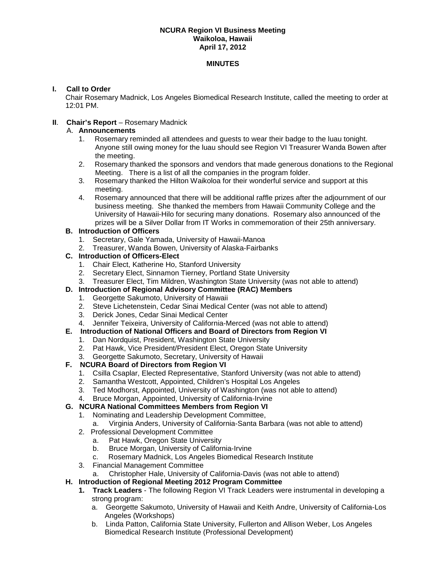#### **NCURA Region VI Business Meeting Waikoloa, Hawaii April 17, 2012**

#### **MINUTES**

## **I. Call to Order**

Chair Rosemary Madnick, Los Angeles Biomedical Research Institute, called the meeting to order at 12:01 PM.

## **II**. **Chair's Report** – Rosemary Madnick

#### A. **Announcements**

- 1. Rosemary reminded all attendees and guests to wear their badge to the luau tonight. Anyone still owing money for the luau should see Region VI Treasurer Wanda Bowen after the meeting.
- 2. Rosemary thanked the sponsors and vendors that made generous donations to the Regional Meeting. There is a list of all the companies in the program folder.
- 3. Rosemary thanked the Hilton Waikoloa for their wonderful service and support at this meeting.
- 4. Rosemary announced that there will be additional raffle prizes after the adjournment of our business meeting. She thanked the members from Hawaii Community College and the University of Hawaii-Hilo for securing many donations. Rosemary also announced of the prizes will be a Silver Dollar from IT Works in commemoration of their 25th anniversary.

#### **B. Introduction of Officers**

- 1. Secretary, Gale Yamada, University of Hawaii-Manoa
- 2. Treasurer, Wanda Bowen, University of Alaska-Fairbanks

#### **C. Introduction of Officers-Elect**

- 1. Chair Elect, Katherine Ho, Stanford University
- 2. Secretary Elect, Sinnamon Tierney, Portland State University
- 3. Treasurer Elect, Tim Mildren, Washington State University (was not able to attend)

## **D. Introduction of Regional Advisory Committee (RAC) Members**

- 1. Georgette Sakumoto, University of Hawaii
- 2. Steve Lichetenstein, Cedar Sinai Medical Center (was not able to attend)
- 3. Derick Jones, Cedar Sinai Medical Center
- 4. Jennifer Teixeira, University of California-Merced (was not able to attend)

#### **E. Introduction of National Officers and Board of Directors from Region VI**

- 1. Dan Nordquist, President, Washington State University
- 2. Pat Hawk, Vice President/President Elect, Oregon State University
- 3. Georgette Sakumoto, Secretary, University of Hawaii

## **F. NCURA Board of Directors from Region VI**

- 1. Csilla Csaplar, Elected Representative, Stanford University (was not able to attend)
- 2. Samantha Westcott, Appointed, Children's Hospital Los Angeles
- 3. Ted Modhorst, Appointed, University of Washington (was not able to attend)
- 4. Bruce Morgan, Appointed, University of California-Irvine

## **G. NCURA National Committees Members from Region VI**

- 1. Nominating and Leadership Development Committee,
	- a. Virginia Anders, University of California-Santa Barbara (was not able to attend)
- 2. Professional Development Committee
	- a. Pat Hawk, Oregon State University<br>b. Bruce Morgan, University of Californ
	- Bruce Morgan, University of California-Irvine
	- c. Rosemary Madnick, Los Angeles Biomedical Research Institute
- 3. Financial Management Committee
	- a. Christopher Hale, University of California-Davis (was not able to attend)

## **H. Introduction of Regional Meeting 2012 Program Committee**

- **1. Track Leaders** The following Region VI Track Leaders were instrumental in developing a strong program:
	- a. Georgette Sakumoto, University of Hawaii and Keith Andre, University of California-Los Angeles (Workshops)
	- b. Linda Patton, California State University, Fullerton and Allison Weber, Los Angeles Biomedical Research Institute (Professional Development)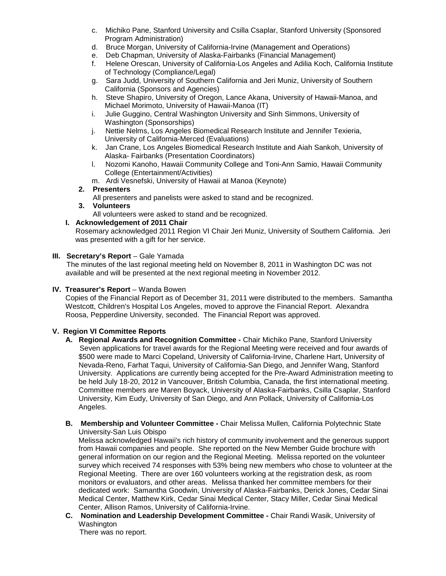- c. Michiko Pane, Stanford University and Csilla Csaplar, Stanford University (Sponsored Program Administration)
- d. Bruce Morgan, University of California-Irvine (Management and Operations)
- e. Deb Chapman, University of Alaska-Fairbanks (Financial Management)
- f. Helene Orescan, University of California-Los Angeles and Adilia Koch, California Institute of Technology (Compliance/Legal)
- g. Sara Judd, University of Southern California and Jeri Muniz, University of Southern California (Sponsors and Agencies)
- h. Steve Shapiro, University of Oregon, Lance Akana, University of Hawaii-Manoa, and Michael Morimoto, University of Hawaii-Manoa (IT)
- i. Julie Guggino, Central Washington University and Sinh Simmons, University of Washington (Sponsorships)
- j. Nettie Nelms, Los Angeles Biomedical Research Institute and Jennifer Texieria, University of California-Merced (Evaluations)
- k. Jan Crane, Los Angeles Biomedical Research Institute and Aiah Sankoh, University of Alaska- Fairbanks (Presentation Coordinators)
- l. Nozomi Kanoho, Hawaii Community College and Toni-Ann Samio, Hawaii Community College (Entertainment/Activities)
- m. Ardi Vesnefski, University of Hawaii at Manoa (Keynote)

## **2. Presenters**

All presenters and panelists were asked to stand and be recognized.

**3. Volunteers**

All volunteers were asked to stand and be recognized.

## **I. Acknowledgement of 2011 Chair**

 Rosemary acknowledged 2011 Region VI Chair Jeri Muniz, University of Southern California. Jeri was presented with a gift for her service.

## **III. Secretary's Report** – Gale Yamada

 The minutes of the last regional meeting held on November 8, 2011 in Washington DC was not available and will be presented at the next regional meeting in November 2012.

## **IV. Treasurer's Report** – Wanda Bowen

Copies of the Financial Report as of December 31, 2011 were distributed to the members. Samantha Westcott, Children's Hospital Los Angeles, moved to approve the Financial Report. Alexandra Roosa, Pepperdine University, seconded. The Financial Report was approved.

# **V. Region VI Committee Reports**

- **A. Regional Awards and Recognition Committee -** Chair Michiko Pane, Stanford University Seven applications for travel awards for the Regional Meeting were received and four awards of \$500 were made to Marci Copeland, University of California-Irvine, Charlene Hart, University of Nevada-Reno, Farhat Taqui, University of California-San Diego, and Jennifer Wang, Stanford University. Applications are currently being accepted for the Pre-Award Administration meeting to be held July 18-20, 2012 in Vancouver, British Columbia, Canada, the first international meeting. Committee members are Maren Boyack, University of Alaska-Fairbanks, Csilla Csaplar, Stanford University, Kim Eudy, University of San Diego, and Ann Pollack, University of California-Los Angeles.
- **B. Membership and Volunteer Committee -** Chair Melissa Mullen, California Polytechnic State University-San Luis Obispo

Melissa acknowledged Hawaii's rich history of community involvement and the generous support from Hawaii companies and people. She reported on the New Member Guide brochure with general information on our region and the Regional Meeting. Melissa reported on the volunteer survey which received 74 responses with 53% being new members who chose to volunteer at the Regional Meeting. There are over 160 volunteers working at the registration desk, as room monitors or evaluators, and other areas. Melissa thanked her committee members for their dedicated work: Samantha Goodwin, University of Alaska-Fairbanks, Derick Jones, Cedar Sinai Medical Center, Matthew Kirk, Cedar Sinai Medical Center, Stacy Miller, Cedar Sinai Medical Center, Allison Ramos, University of California-Irvine.

**C. Nomination and Leadership Development Committee -** Chair Randi Wasik, University of Washington

There was no report.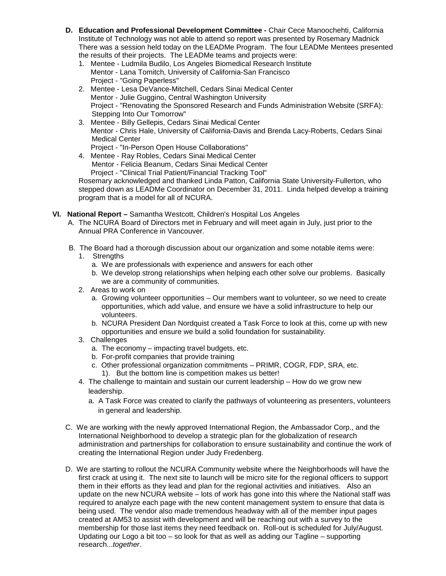- **D. Education and Professional Development Committee -** Chair Cece Manoochehti, California Institute of Technology was not able to attend so report was presented by Rosemary Madnick There was a session held today on the LEADMe Program. The four LEADMe Mentees presented the results of their projects. The LEADMe teams and projects were:
	- 1. Mentee Ludmila Budilo, Los Angeles Biomedical Research Institute Mentor - Lana Tomitch, University of California-San Francisco Project - "Going Paperless"
	- 2. Mentee Lesa DeVance-Mitchell, Cedars Sinai Medical Center Mentor - Julie Guggino, Central Washington University Project - "Renovating the Sponsored Research and Funds Administration Website (SRFA): Stepping Into Our Tomorrow"
	- 3. Mentee Billy Gellepis, Cedars Sinai Medical Center Mentor - Chris Hale, University of California-Davis and Brenda Lacy-Roberts, Cedars Sinai Medical Center
		- Project "In-Person Open House Collaborations"
	- 4. Mentee Ray Robles, Cedars Sinai Medical Center Mentor - Felicia Beanum, Cedars Sinai Medical Center Project - "Clinical Trial Patient/Financial Tracking Tool"

Rosemary acknowledged and thanked Linda Patton, California State University-Fullerton, who stepped down as LEADMe Coordinator on December 31, 2011. Linda helped develop a training program that is a model for all of NCURA.

- **VI. National Report –** Samantha Westcott, Children's Hospital Los Angeles
	- A. The NCURA Board of Directors met in February and will meet again in July, just prior to the Annual PRA Conference in Vancouver.
	- B. The Board had a thorough discussion about our organization and some notable items were:
		- 1. Strengths
			- a. We are professionals with experience and answers for each other
			- b. We develop strong relationships when helping each other solve our problems. Basically we are a community of communities.
		- 2. Areas to work on
			- a. Growing volunteer opportunities Our members want to volunteer, so we need to create opportunities, which add value, and ensure we have a solid infrastructure to help our volunteers.
			- b. NCURA President Dan Nordquist created a Task Force to look at this, come up with new opportunities and ensure we build a solid foundation for sustainability.
		- 3. Challenges
			- a. The economy impacting travel budgets, etc.
			- b. For-profit companies that provide training
			- c. Other professional organization commitments PRIMR, COGR, FDP, SRA, etc. 1). But the bottom line is competition makes us better!
		- 4. The challenge to maintain and sustain our current leadership How do we grow new leadership.
			- a. A Task Force was created to clarify the pathways of volunteering as presenters, volunteers in general and leadership.
	- C. We are working with the newly approved International Region, the Ambassador Corp., and the International Neighborhood to develop a strategic plan for the globalization of research administration and partnerships for collaboration to ensure sustainability and continue the work of creating the International Region under Judy Fredenberg.
	- D. We are starting to rollout the NCURA Community website where the Neighborhoods will have the first crack at using it. The next site to launch will be micro site for the regional officers to support them in their efforts as they lead and plan for the regional activities and initiatives. Also an update on the new NCURA website – lots of work has gone into this where the National staff was required to analyze each page with the new content management system to ensure that data is being used. The vendor also made tremendous headway with all of the member input pages created at AM53 to assist with development and will be reaching out with a survey to the membership for those last items they need feedback on. Roll-out is scheduled for July/August. Updating our Logo a bit too – so look for that as well as adding our Tagline – supporting research...*together*.